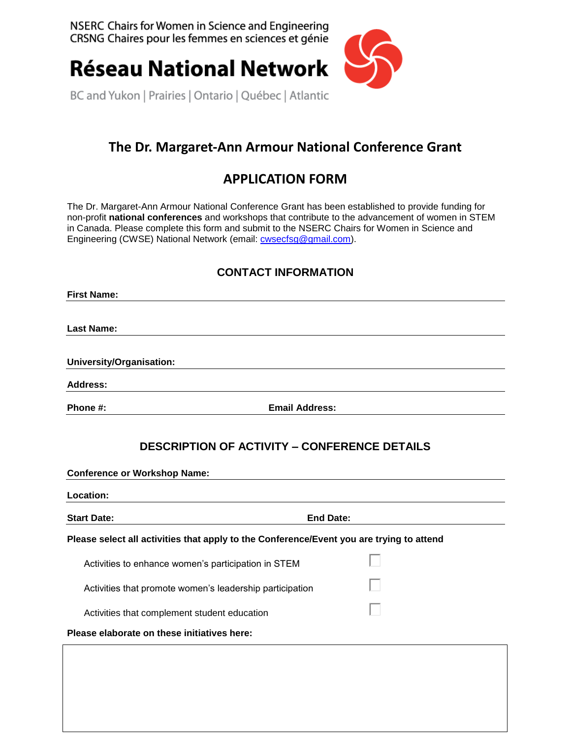NSERC Chairs for Women in Science and Engineering CRSNG Chaires pour les femmes en sciences et génie



**Réseau National Network** 

BC and Yukon | Prairies | Ontario | Québec | Atlantic

# **The Dr. Margaret-Ann Armour National Conference Grant**

## **APPLICATION FORM**

The Dr. Margaret-Ann Armour National Conference Grant has been established to provide funding for non-profit **national conferences** and workshops that contribute to the advancement of women in STEM in Canada. Please complete this form and submit to the NSERC Chairs for Women in Science and Engineering (CWSE) National Network (email: [cwsecfsg@gmail.com\)](mailto:cwsecfsg@gmail.com).

### **CONTACT INFORMATION**

| <b>First Name:</b>       |                       |
|--------------------------|-----------------------|
|                          |                       |
| <b>Last Name:</b>        |                       |
|                          |                       |
| University/Organisation: |                       |
| <b>Address:</b>          |                       |
| Phone #:                 | <b>Email Address:</b> |

### **DESCRIPTION OF ACTIVITY – CONFERENCE DETAILS**

**Conference or Workshop Name:** 

| Location:                                                                                |                  |  |
|------------------------------------------------------------------------------------------|------------------|--|
| <b>Start Date:</b>                                                                       | <b>End Date:</b> |  |
| Please select all activities that apply to the Conference/Event you are trying to attend |                  |  |
| Activities to enhance women's participation in STEM                                      |                  |  |
| Activities that promote women's leadership participation                                 |                  |  |
| Activities that complement student education                                             |                  |  |
| Please elaborate on these initiatives here:                                              |                  |  |
|                                                                                          |                  |  |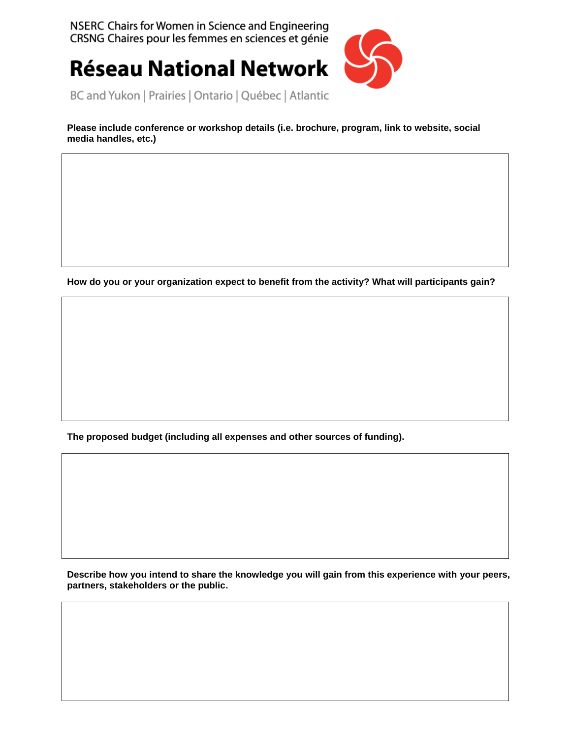NSERC Chairs for Women in Science and Engineering CRSNG Chaires pour les femmes en sciences et génie

**Réseau National Network** 



BC and Yukon | Prairies | Ontario | Québec | Atlantic

**Please include conference or workshop details (i.e. brochure, program, link to website, social media handles, etc.)**

**How do you or your organization expect to benefit from the activity? What will participants gain?**

**The proposed budget (including all expenses and other sources of funding).**

**Describe how you intend to share the knowledge you will gain from this experience with your peers, partners, stakeholders or the public.**